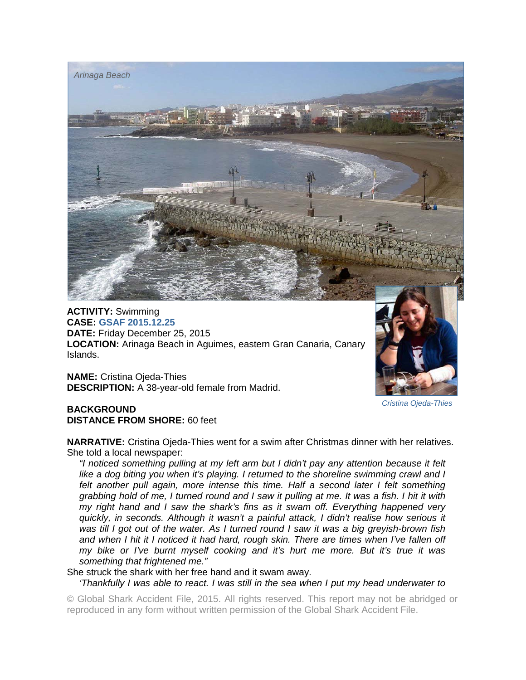

**ACTIVITY:** Swimming **CASE: GSAF 2015.12.25 DATE:** Friday December 25, 2015 **LOCATION:** Arinaga Beach in Aguimes, eastern Gran Canaria, Canary Islands.

**NAME:** Cristina Ojeda-Thies **DESCRIPTION:** A 38-year-old female from Madrid.



*Cristina Ojeda-Thies* 

## **BACKGROUND DISTANCE FROM SHORE:** 60 feet

**NARRATIVE:** Cristina Ojeda-Thies went for a swim after Christmas dinner with her relatives. She told a local newspaper:

*"I noticed something pulling at my left arm but I didn't pay any attention because it felt*  like a dog biting you when it's playing. I returned to the shoreline swimming crawl and I felt another pull again, more intense this time. Half a second later I felt something *grabbing hold of me, I turned round and I saw it pulling at me. It was a fish. I hit it with my right hand and I saw the shark's fins as it swam off. Everything happened very quickly, in seconds. Although it wasn't a painful attack, I didn't realise how serious it was till I got out of the water. As I turned round I saw it was a big greyish-brown fish and when I hit it I noticed it had hard, rough skin. There are times when I've fallen off my bike or I've burnt myself cooking and it's hurt me more. But it's true it was something that frightened me."* 

She struck the shark with her free hand and it swam away.

*'Thankfully I was able to react. I was still in the sea when I put my head underwater to* 

© Global Shark Accident File, 2015. All rights reserved. This report may not be abridged or reproduced in any form without written permission of the Global Shark Accident File.